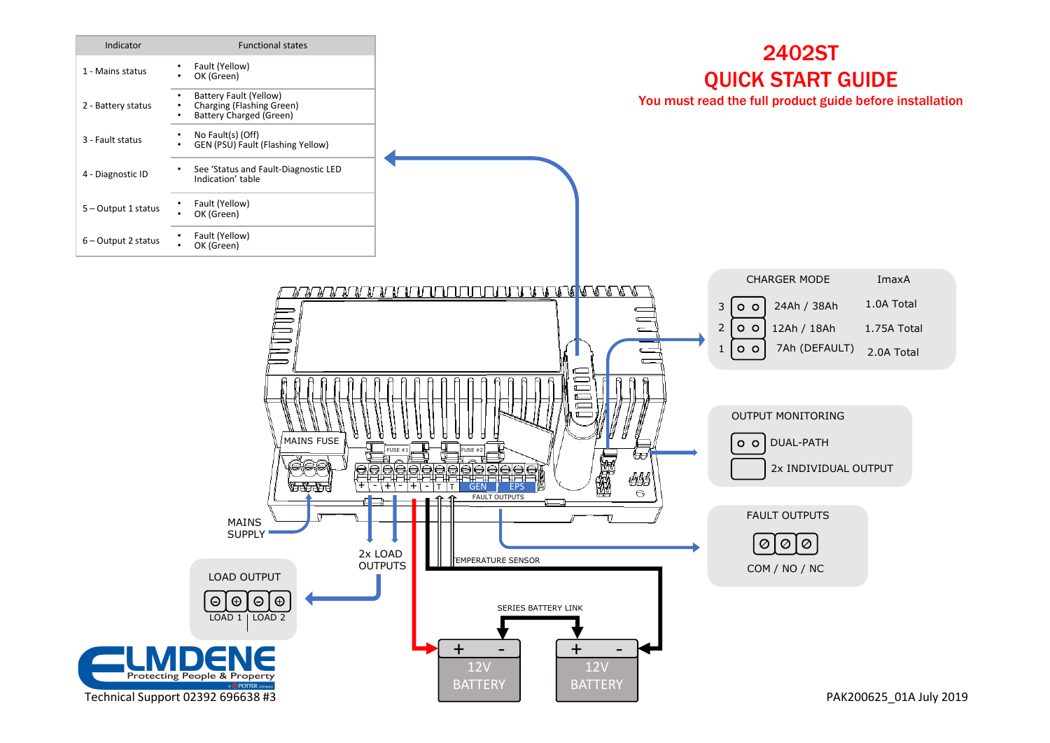